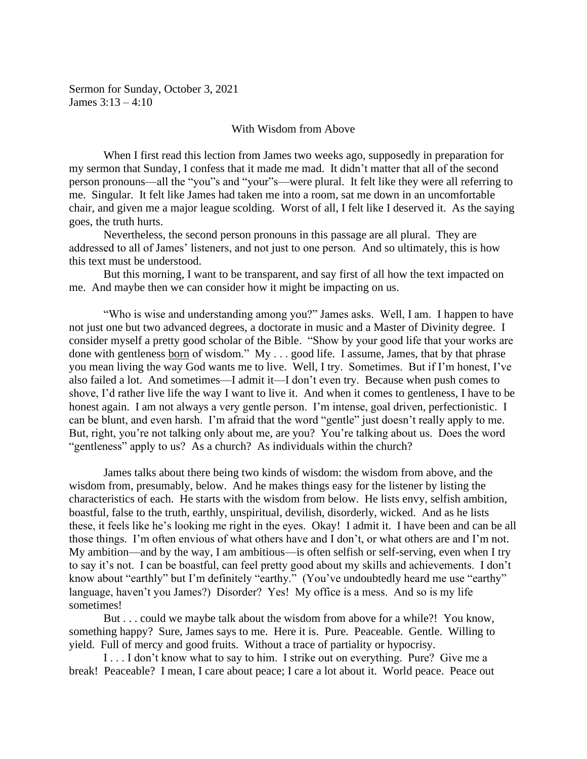Sermon for Sunday, October 3, 2021 James 3:13 – 4:10

## With Wisdom from Above

When I first read this lection from James two weeks ago, supposedly in preparation for my sermon that Sunday, I confess that it made me mad. It didn't matter that all of the second person pronouns—all the "you"s and "your"s—were plural. It felt like they were all referring to me. Singular. It felt like James had taken me into a room, sat me down in an uncomfortable chair, and given me a major league scolding. Worst of all, I felt like I deserved it. As the saying goes, the truth hurts.

Nevertheless, the second person pronouns in this passage are all plural. They are addressed to all of James' listeners, and not just to one person. And so ultimately, this is how this text must be understood.

But this morning, I want to be transparent, and say first of all how the text impacted on me. And maybe then we can consider how it might be impacting on us.

"Who is wise and understanding among you?" James asks. Well, I am. I happen to have not just one but two advanced degrees, a doctorate in music and a Master of Divinity degree. I consider myself a pretty good scholar of the Bible. "Show by your good life that your works are done with gentleness born of wisdom." My . . . good life. I assume, James, that by that phrase you mean living the way God wants me to live. Well, I try. Sometimes. But if I'm honest, I've also failed a lot. And sometimes—I admit it—I don't even try. Because when push comes to shove, I'd rather live life the way I want to live it. And when it comes to gentleness, I have to be honest again. I am not always a very gentle person. I'm intense, goal driven, perfectionistic. I can be blunt, and even harsh. I'm afraid that the word "gentle" just doesn't really apply to me. But, right, you're not talking only about me, are you? You're talking about us. Does the word "gentleness" apply to us? As a church? As individuals within the church?

James talks about there being two kinds of wisdom: the wisdom from above, and the wisdom from, presumably, below. And he makes things easy for the listener by listing the characteristics of each. He starts with the wisdom from below. He lists envy, selfish ambition, boastful, false to the truth, earthly, unspiritual, devilish, disorderly, wicked. And as he lists these, it feels like he's looking me right in the eyes. Okay! I admit it. I have been and can be all those things. I'm often envious of what others have and I don't, or what others are and I'm not. My ambition—and by the way, I am ambitious—is often selfish or self-serving, even when I try to say it's not. I can be boastful, can feel pretty good about my skills and achievements. I don't know about "earthly" but I'm definitely "earthy." (You've undoubtedly heard me use "earthy" language, haven't you James?) Disorder? Yes! My office is a mess. And so is my life sometimes!

But . . . could we maybe talk about the wisdom from above for a while?! You know, something happy? Sure, James says to me. Here it is. Pure. Peaceable. Gentle. Willing to yield. Full of mercy and good fruits. Without a trace of partiality or hypocrisy.

I . . . I don't know what to say to him. I strike out on everything. Pure? Give me a break! Peaceable? I mean, I care about peace; I care a lot about it. World peace. Peace out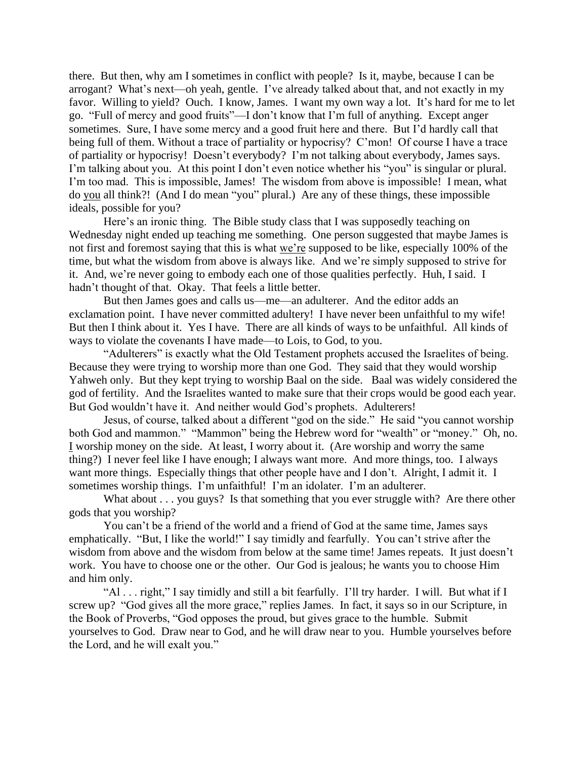there. But then, why am I sometimes in conflict with people? Is it, maybe, because I can be arrogant? What's next—oh yeah, gentle. I've already talked about that, and not exactly in my favor. Willing to yield? Ouch. I know, James. I want my own way a lot. It's hard for me to let go. "Full of mercy and good fruits"—I don't know that I'm full of anything. Except anger sometimes. Sure, I have some mercy and a good fruit here and there. But I'd hardly call that being full of them. Without a trace of partiality or hypocrisy? C'mon! Of course I have a trace of partiality or hypocrisy! Doesn't everybody? I'm not talking about everybody, James says. I'm talking about you. At this point I don't even notice whether his "you" is singular or plural. I'm too mad. This is impossible, James! The wisdom from above is impossible! I mean, what do you all think?! (And I do mean "you" plural.) Are any of these things, these impossible ideals, possible for you?

Here's an ironic thing. The Bible study class that I was supposedly teaching on Wednesday night ended up teaching me something. One person suggested that maybe James is not first and foremost saying that this is what we're supposed to be like, especially 100% of the time, but what the wisdom from above is always like. And we're simply supposed to strive for it. And, we're never going to embody each one of those qualities perfectly. Huh, I said. I hadn't thought of that. Okay. That feels a little better.

But then James goes and calls us—me—an adulterer. And the editor adds an exclamation point. I have never committed adultery! I have never been unfaithful to my wife! But then I think about it. Yes I have. There are all kinds of ways to be unfaithful. All kinds of ways to violate the covenants I have made—to Lois, to God, to you.

"Adulterers" is exactly what the Old Testament prophets accused the Israelites of being. Because they were trying to worship more than one God. They said that they would worship Yahweh only. But they kept trying to worship Baal on the side. Baal was widely considered the god of fertility. And the Israelites wanted to make sure that their crops would be good each year. But God wouldn't have it. And neither would God's prophets. Adulterers!

Jesus, of course, talked about a different "god on the side." He said "you cannot worship both God and mammon." "Mammon" being the Hebrew word for "wealth" or "money." Oh, no. I worship money on the side. At least, I worry about it. (Are worship and worry the same thing?) I never feel like I have enough; I always want more. And more things, too. I always want more things. Especially things that other people have and I don't. Alright, I admit it. I sometimes worship things. I'm unfaithful! I'm an idolater. I'm an adulterer.

What about . . . you guys? Is that something that you ever struggle with? Are there other gods that you worship?

You can't be a friend of the world and a friend of God at the same time, James says emphatically. "But, I like the world!" I say timidly and fearfully. You can't strive after the wisdom from above and the wisdom from below at the same time! James repeats. It just doesn't work. You have to choose one or the other. Our God is jealous; he wants you to choose Him and him only.

"Al . . . right," I say timidly and still a bit fearfully. I'll try harder. I will. But what if I screw up? "God gives all the more grace," replies James. In fact, it says so in our Scripture, in the Book of Proverbs, "God opposes the proud, but gives grace to the humble. Submit yourselves to God. Draw near to God, and he will draw near to you. Humble yourselves before the Lord, and he will exalt you."